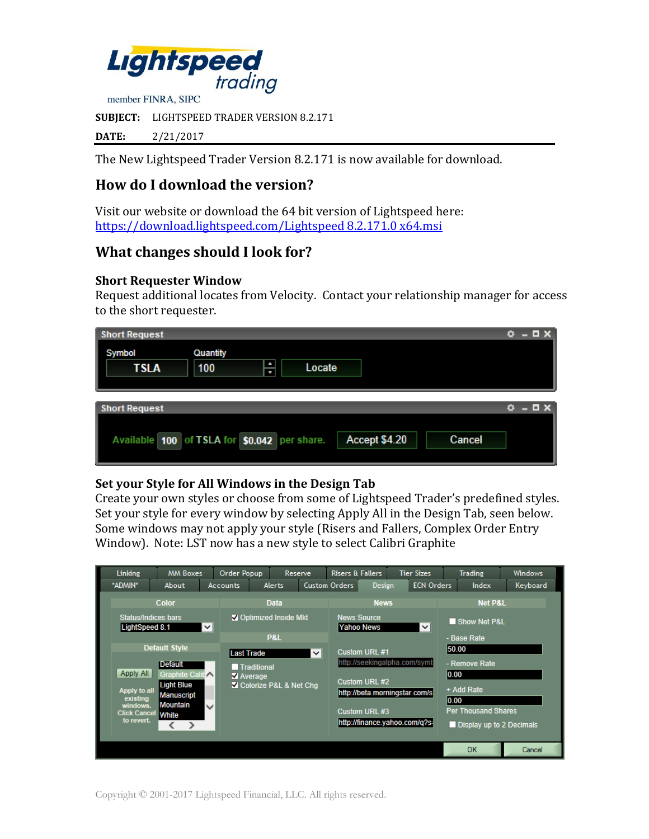

**SUBJECT:** LIGHTSPEED TRADER VERSION 8.2.171

**DATE:** 2/21/2017

The New Lightspeed Trader Version 8.2.171 is now available for download.

# **How do I download the version?**

Visit our website or download the 64 bit version of Lightspeed here: [https://download.lightspeed.com/Lightspeed 8.2.171.0 x64.msi](https://download.lightspeed.com/Lightspeed%208.2.171.0%20x64.msi)

## **What changes should I look for?**

#### **Short Requester Window**

Request additional locates from Velocity. Contact your relationship manager for access to the short requester.

| <b>Short Request</b>                                                    | $\Box$ $\times$ |
|-------------------------------------------------------------------------|-----------------|
| Quantity<br>Symbol<br>÷<br><b>TSLA</b><br>100<br>Locate                 |                 |
|                                                                         |                 |
| <b>Short Request</b>                                                    | - <b>0</b> x    |
| Available 100 of TSLA for \$0.042 per share.<br>Accept \$4.20<br>Cancel |                 |

#### **Set your Style for All Windows in the Design Tab**

Create your own styles or choose from some of Lightspeed Trader's predefined styles. Set your style for every window by selecting Apply All in the Design Tab, seen below. Some windows may not apply your style (Risers and Fallers, Complex Order Entry Window). Note: LST now has a new style to select Calibri Graphite

| <b>Custom Orders</b><br><b>ECN Orders</b><br>*ADMIN*<br>Design<br><b>Alerts</b><br>Index<br>Keyboard<br>About<br><b>Accounts</b><br><b>Color</b><br><b>Data</b><br><b>News</b><br><b>Net P&amp;L</b><br><b>Status/Indices bars</b><br>Optimized Inside Mkt<br><b>News Source</b><br>Show Net P&L<br>LightSpeed 8.1<br><b>Yahoo News</b><br>$\checkmark$<br>$\checkmark$<br><b>P&amp;L</b><br>- Base Rate<br><b>Default Style</b><br>50.00<br>Custom URL #1<br><b>Last Trade</b><br>$\checkmark$<br>http://seekingalpha.com/symt<br>- Remove Rate<br><b>Default</b><br><b>Traditional</b><br>Apply All<br>0.00<br>Graphite Calib<br>V Average<br>Custom URL #2<br><b>Light Blue</b><br>Colorize P&L & Net Chg<br>+ Add Rate<br>Apply to all<br>http://beta.morningstar.com/s<br>Manuscript<br>existing<br> 0.00 | Linking  | <b>MM Boxes</b> |              | <b>Order Popup</b> | Reserve | <b>Risers &amp; Fallers</b> |  | <b>Tier Sizes</b> | <b>Trading</b> | Windows |
|----------------------------------------------------------------------------------------------------------------------------------------------------------------------------------------------------------------------------------------------------------------------------------------------------------------------------------------------------------------------------------------------------------------------------------------------------------------------------------------------------------------------------------------------------------------------------------------------------------------------------------------------------------------------------------------------------------------------------------------------------------------------------------------------------------------|----------|-----------------|--------------|--------------------|---------|-----------------------------|--|-------------------|----------------|---------|
|                                                                                                                                                                                                                                                                                                                                                                                                                                                                                                                                                                                                                                                                                                                                                                                                                |          |                 |              |                    |         |                             |  |                   |                |         |
| <b>Per Thousand Shares</b><br>Custom URL #3<br><b>Click Cancel</b><br><b>White</b><br>to revert.<br>http://finance.yahoo.com/q?s:<br>Display up to 2 Decimals<br>$\rightarrow$                                                                                                                                                                                                                                                                                                                                                                                                                                                                                                                                                                                                                                 | windows. | <b>Mountain</b> | $\checkmark$ |                    |         |                             |  |                   |                |         |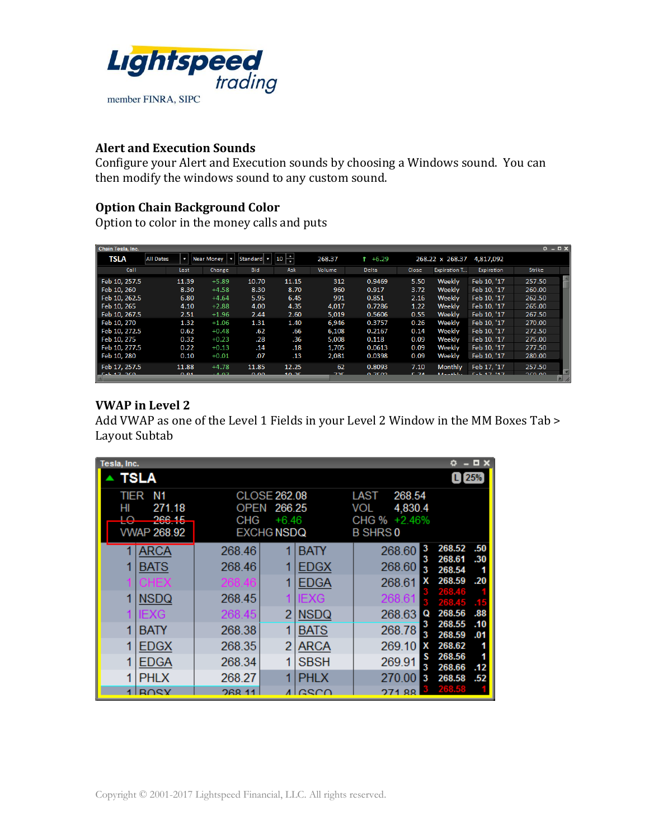

#### **Alert and Execution Sounds**

Configure your Alert and Execution sounds by choosing a Windows sound. You can then modify the windows sound to any custom sound.

#### **Option Chain Background Color**

Option to color in the money calls and puts

| Chain Tesla, Inc. |                  |       |                   |              |         |        |              |             |                     |                    | $0 - EX$      |  |
|-------------------|------------------|-------|-------------------|--------------|---------|--------|--------------|-------------|---------------------|--------------------|---------------|--|
| <b>TSLA</b>       | <b>All Dates</b> |       | <b>Near Money</b> | Standard   - | H<br>10 | 268.37 | $+6.29$      |             | 268.22 x 268.37     | 4,817,092          |               |  |
| Call              |                  | Last  | Change            | <b>Bid</b>   | Ask     | Volume | <b>Delta</b> | Close       | <b>Expiration T</b> | Expiration         | <b>Strike</b> |  |
| Feb 10, 257.5     |                  | 11.39 | $+5.89$           | 10.70        | 11.15   | 312    | 0.9469       | 5.50        | Weekly              | Feb 10, '17        | 257.50        |  |
| Feb 10, 260       |                  | 8.30  | $+4.58$           | 8.30         | 8.70    | 960    | 0.917        | 3.72        | Weekly              | Feb 10, '17        | 260.00        |  |
| Feb 10, 262.5     |                  | 6.80  | $+4.64$           | 5.95         | 6.45    | 991    | 0.851        | 2.16        | Weekly              | Feb 10. '17        | 262.50        |  |
| Feb 10, 265       |                  | 4.10  | $+2.88$           | 4.00         | 4.35    | 4,017  | 0.7286       | 1.22        | Weekly              | Feb 10, '17        | 265.00        |  |
| Feb 10, 267.5     |                  | 2.51  | $+1.96$           | 2.44         | 2.60    | 5,019  | 0.5606       | 0.55        | Weekly              | Feb 10, '17        | 267.50        |  |
| Feb 10, 270       |                  | 1.32  | $+1.06$           | 1.31         | 1.40    | 6,946  | 0.3757       | 0.26        | Weekly              | Feb 10, '17        | 270.00        |  |
| Feb 10, 272.5     |                  | 0.62  | $+0.48$           | .62          | .66     | 6.108  | 0.2167       | 0.14        | Weekly              | Feb 10. '17        | 272.50        |  |
| Feb 10, 275       |                  | 0.32  | $+0.23$           | .28          | .36     | 5.008  | 0.118        | 0.09        | Weekly              | Feb 10. '17        | 275.00        |  |
| Feb 10, 277.5     |                  | 0.22  | $+0.13$           | .14          | .18     | 1,705  | 0.0613       | 0.09        | Weekly              | Feb 10, '17        | 277.50        |  |
| Feb 10, 280       |                  | 0.10  | $+0.01$           | .07          | .13     | 2,081  | 0.0398       | 0.09        | Weekly              | Feb 10, '17        | 280.00        |  |
| Feb 17, 257.5     |                  | 11.88 | $+4.78$           | 11.85        | 12.25   | 62     | 0.8093       | 7.10        | <b>Monthly</b>      | Feb 17. '17        | 257.50        |  |
| $F - L = 17.20$   |                  | 0.04  | $A$ $0.7$         | 0.00         | 40.25   | 70F    | 0.7502       | <b>C</b> ZA | <b>MALGALIA</b>     | $F = L + T$ $14.7$ | 20000         |  |

## **VWAP in Level 2**

Add VWAP as one of the Level 1 Fields in your Level 2 Window in the MM Boxes Tab > Layout Subtab

| Tesla, Inc. | <b>TSLA</b>                                  |                            |                                                        |                                    |                                                                     |                  | o<br>$L$ 25%                         | $\Box$ $\times$   |
|-------------|----------------------------------------------|----------------------------|--------------------------------------------------------|------------------------------------|---------------------------------------------------------------------|------------------|--------------------------------------|-------------------|
| TIER<br>HI  | Ν1<br>271.18<br>ኃድድ 15<br><b>VWAP 268.92</b> | OPEN<br>CHG                | CLOSE 262.08<br>266.25<br>$+6.46$<br><b>EXCHG NSDQ</b> |                                    | 268.54<br>LAST<br>4,830.4<br>VOL<br>CHG % +2.46%<br><b>B SHRS 0</b> |                  |                                      |                   |
|             | <b>ARCA</b><br><b>BATS</b><br>CHEX           | 268.46<br>268.46<br>268.46 | 1                                                      | <b>BATY</b><br>EDGX<br><b>EDGA</b> | 268.60<br>268.60<br>268.61                                          | 3<br>3<br>3<br>х | 268.52<br>268.61<br>268.54<br>268.59 | .50<br>.30<br>.20 |
| 1           | <b>NSDQ</b><br>IEXG                          | 268.45<br>268.45           | 2                                                      | IEXG<br><b>NSDQ</b>                | 268.61<br>268.63                                                    | O                | 268.46<br>268.45<br>268.56           | .88               |
| 1<br>1      | BATY<br><b>EDGX</b>                          | 268.38<br>268.35           | 1<br>2                                                 | <b>BATS</b><br><b>ARCA</b>         | 268.78<br>269.10                                                    | 3<br>3<br>х      | 268.55<br>268.59<br>268.62           | .10<br>.01        |
| 1<br>1      | <b>EDGA</b><br><b>PHLX</b>                   | 268.34<br>268.27           | 1<br>1                                                 | <b>SBSH</b><br><b>PHLX</b>         | 269.91<br>270.00                                                    | s<br>3<br>3      | 268.56<br>268.66                     | .12               |
| 4           | <b>ROSY</b>                                  | 268.11                     |                                                        | csco                               | 274.<br>$\circ$                                                     |                  | 268.58<br>268.58                     | .52               |